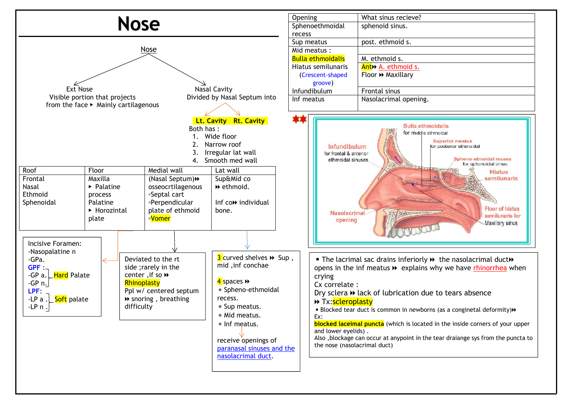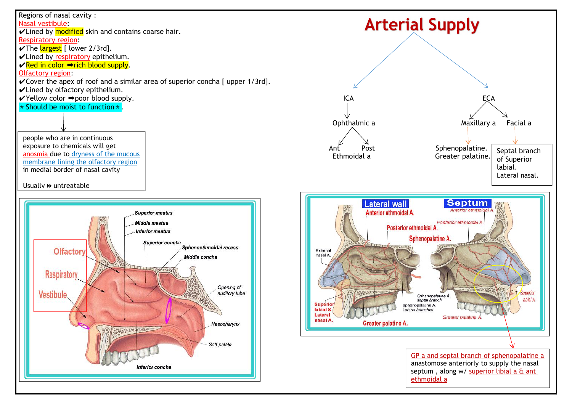

Lateral nasal. **Septum** Anterior ethmoid Posterior ethmoidal A Sphenopalatine A. uperior Sphenopalatine A.<br>septal branch labial A. Greater palatine GP a and septal branch of sphenopalatine a anastomose anteriorly to supply the nasal septum, along  $w/$  superior libial a  $\theta$  ant ethmoidal a

Septal branch of Superior labial.